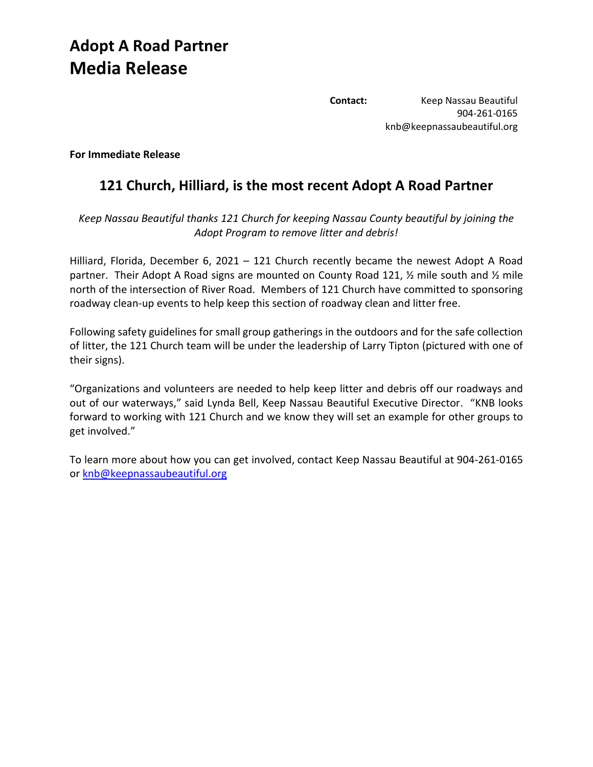## **Adopt A Road Partner Media Release**

**Contact:** Keep Nassau Beautiful 904-261-0165 knb@keepnassaubeautiful.org

**For Immediate Release**

## **121 Church, Hilliard, is the most recent Adopt A Road Partner**

*Keep Nassau Beautiful thanks 121 Church for keeping Nassau County beautiful by joining the Adopt Program to remove litter and debris!*

Hilliard, Florida, December 6, 2021 – 121 Church recently became the newest Adopt A Road partner. Their Adopt A Road signs are mounted on County Road 121, ½ mile south and ½ mile north of the intersection of River Road. Members of 121 Church have committed to sponsoring roadway clean-up events to help keep this section of roadway clean and litter free.

Following safety guidelines for small group gatherings in the outdoors and for the safe collection of litter, the 121 Church team will be under the leadership of Larry Tipton (pictured with one of their signs).

"Organizations and volunteers are needed to help keep litter and debris off our roadways and out of our waterways," said Lynda Bell, Keep Nassau Beautiful Executive Director. "KNB looks forward to working with 121 Church and we know they will set an example for other groups to get involved."

To learn more about how you can get involved, contact Keep Nassau Beautiful at 904-261-0165 or [knb@keepnassaubeautiful.org](mailto:knb@keepnassaubeautiful.org)